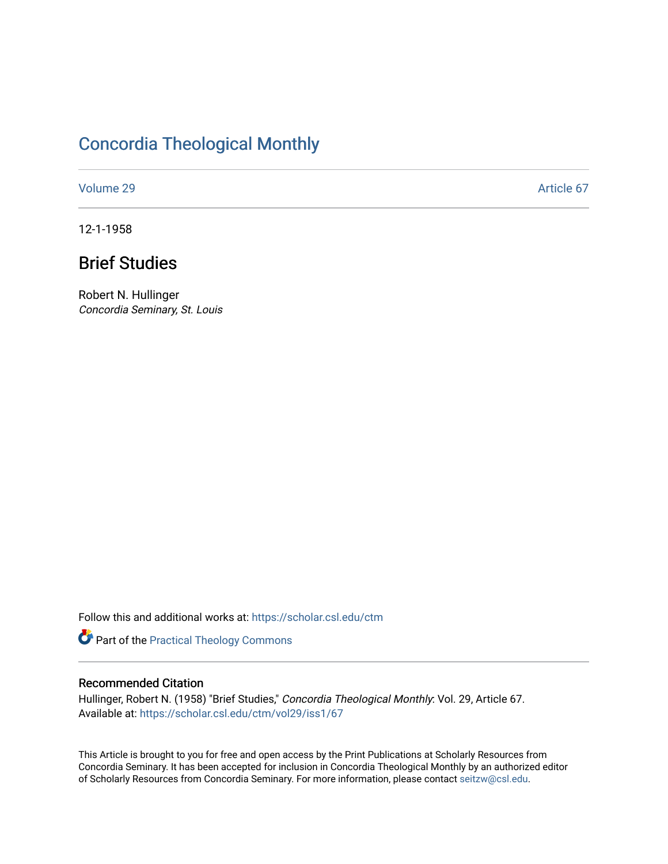# [Concordia Theological Monthly](https://scholar.csl.edu/ctm)

[Volume 29](https://scholar.csl.edu/ctm/vol29) Article 67

12-1-1958

# Brief Studies

Robert N. Hullinger Concordia Seminary, St. Louis

Follow this and additional works at: [https://scholar.csl.edu/ctm](https://scholar.csl.edu/ctm?utm_source=scholar.csl.edu%2Fctm%2Fvol29%2Fiss1%2F67&utm_medium=PDF&utm_campaign=PDFCoverPages)

Part of the [Practical Theology Commons](http://network.bepress.com/hgg/discipline/1186?utm_source=scholar.csl.edu%2Fctm%2Fvol29%2Fiss1%2F67&utm_medium=PDF&utm_campaign=PDFCoverPages)

# Recommended Citation

Hullinger, Robert N. (1958) "Brief Studies," Concordia Theological Monthly: Vol. 29, Article 67. Available at: [https://scholar.csl.edu/ctm/vol29/iss1/67](https://scholar.csl.edu/ctm/vol29/iss1/67?utm_source=scholar.csl.edu%2Fctm%2Fvol29%2Fiss1%2F67&utm_medium=PDF&utm_campaign=PDFCoverPages) 

This Article is brought to you for free and open access by the Print Publications at Scholarly Resources from Concordia Seminary. It has been accepted for inclusion in Concordia Theological Monthly by an authorized editor of Scholarly Resources from Concordia Seminary. For more information, please contact [seitzw@csl.edu](mailto:seitzw@csl.edu).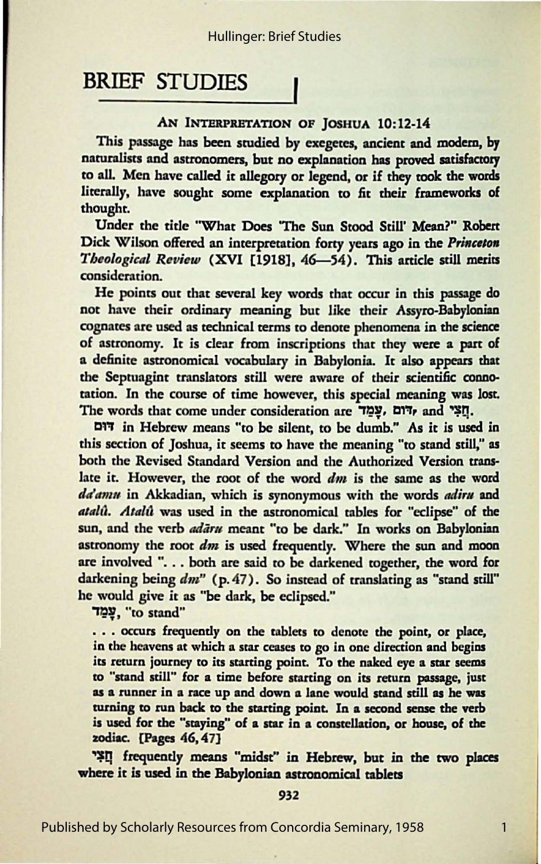BRIEF STUDIES<br>
AN INTERPRETATION OF JOSHUA 10:12-14<br>
This passage has been studied by exegetes, ancient and modem, by<br>
paruralises and actronoments but no authorities has never existence naturalists and astronomers, but no explanation has proved satisfactory to all. Men have called it allegory or legend, or if they rook the words literally, bave sought some explanation to fit their frameworks of thought.

Under the title 'What Does 'The Sun *Stood* Still' **Mean?"** Robert Dick Wilson offered an interpretation forty years ago in the *Princeton Theological Review* (XVI [1918], 46-54). This article still merits consideration.

He points out that several key words that occur in this passage do not have their ordinary meaning but like their Assyro-Babylonian cognates are used as technical terms to denote phenomena in the science of astronomy. It is clear from inscriptions that they were a part of a definite astronomical vocabulary in Babylonia. It also appears that the Septuagint translators still were aware of their scientific connotation. In the course of time however, this special meaning was lost. The words that come under consideration are "יְהֹיִם, and "תְאֵי,

a:r-r in Hebrew means "to be silent, to be dumb." As it **is used in**  this section of Joshua, it seems to have the meaning "to stand still," as both the Revised Standard Version and the Authorized Version trans· late it. However, the root of the word *dm* is the same as the word *dtla11111* in Akkadian, which is synonymous with the words *adira* and *atalû. Atalû* was used in the astronomical tables for "eclipse" of the sun, and the verb *adaru* meant "to be dark." In works on Babylonian astronomy the root *dm* is used frequently. Where the sun and moon are involved ". . . both are said to be darkened together, the word for darkening being  $dm''$  (p. 47). So instead of translating as "stand still" he would give *it* as "be dark, be eclipsed."

-r~:y, "to stand"

. . . occurs frequently on the tablets to denote the point, or place, in the heavens at which a star ceases to go in one direction and begins its return journey to its starting point. To the naked eye a star seems to "stand still" for a time before starting on its return passage, just as a runner in a race up and down a lane would stand still as he was turning *to* run back *to* the starting point. In a second sense the verb is used for the "staying" of a star in a constellation, or house, of the zodiac. [Pages 46, 47]

~Q frequently means "midst" in Hebrew, but in the two places where it is used in the Babylonian astronomical tablets

### 932

Published by Scholarly Resources from Concordia Seminary, 1958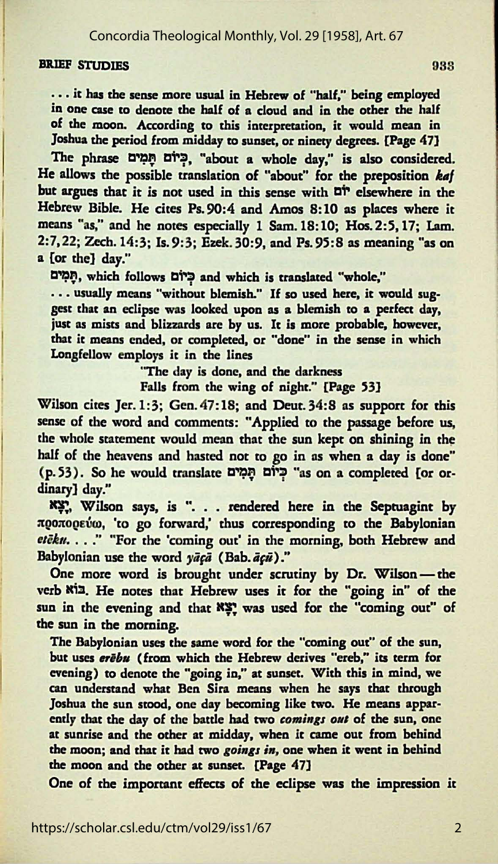Concordia Theological Monthly, Vol. 29 [1958], Art. 67

## BRIEF STUDIES 933

... it has the sense more usual in Hebrew of "half," being employed in one case to denote the half of a cloud and in the other the half of the moon. According to this interpretation, it would mean in Joshua the period from midday *to* sunset, or ninety degrees. [Page 47]

The phrase הַמְים הַמְים, "about a whole day," is also considered. He allows the possible translation of "about" for the preposition *kaf* but argues that it is not used in this sense with D<sup>i</sup> elsewhere in the Hebrew Bible. He cites Ps. 90:4 and Amos 8: 10 as places where it means "as," and he notes especially 1 Sam. 18: 10; Hos. 2: 5, 17; Lam. 2:7,22; Zech.14:3; Is.9:3; Ezek. 30:9, and Ps. 95:8 as meaning "as on a [or the] day."

~J;I. which follows **CIT'=!' and** which is translated "whole,"

... usually means "without blemish." If so used here, it would suggest that an eclipse was looked upon **as a** blemish *to* a perfect day, just as mists and blizzards are by us. It is more probable, however, *that* it means ended, or completed, or "done" in the sense in which Longfellow employs it in the lines

"The day is done, and the darkness

Falls from the wing of night." [Page 53]

Wilson cites Jer. 1:3; Gen. 47:18; and *Deut.* 34:8 as support for this sense of the word and comments: "Applied to the passage before us, the whole statement would mean that the sun kept on shining in the half of the heavens and hasted not to go in as when a day is done" (p. 53). So he would translate **Cl~~J;I CIT'=!'** "as on a completed [or ordinary] day."

~ . Wilson says, is ". • . **rendered** here in the **Septuagint** by προπορεύω, 'to go forward,' thus corresponding to the Babylonian *etēku.* . .." "For the 'coming out' in the morning, both Hebrew and Babylonian use the word  $y\bar{a}c\bar{a}$  (Bab.  $\bar{a}c\bar{u}$ )."

One more word is brought under scrutiny by Dr. Wilson-the verb Ki3. He notes that Hebrew uses it for the "going in" of the sun in the evening and that **xx** was used for the "coming out" of the sun in the moming.

The Babylonian uses the same word for the "coming out" of the sun, but uses erebu (from which the Hebrew derives "ereb," its term for evening) *to* denote the "going **in," at** sunset. With this in mind, we can understand what Ben Sira means when he says that through Joshua the sun stood, one day becoming like two. He means apparently that the day of the battle had two *comings ont* of the sun, one at sunrise and the other at midday, when it came out from behind the moon; and that it had two *goings in*, one when it went in behind the moon and the other at sunset. [Page 47]

One of the important effects of the eclipse was the impression it